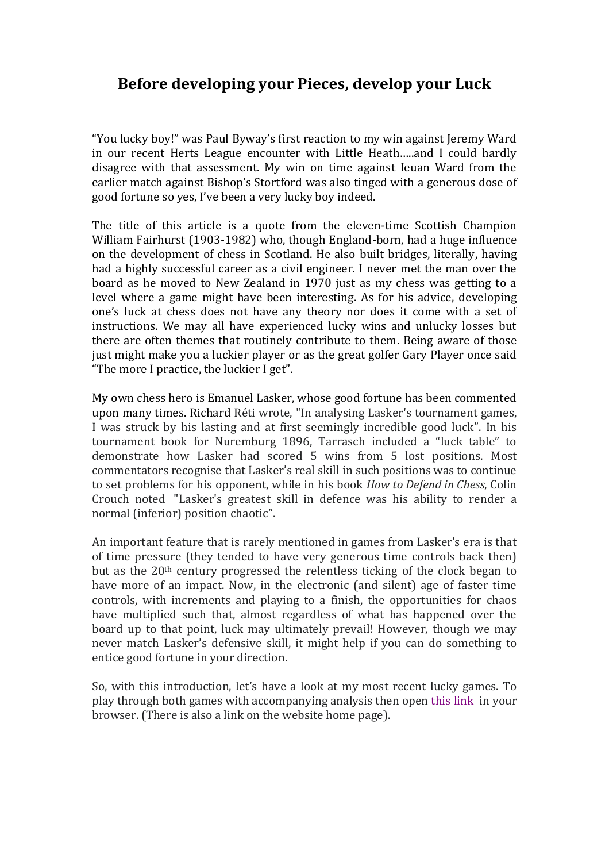## **Before developing your Pieces, develop your Luck**

"You lucky boy!" was Paul Byway's first reaction to my win against Jeremy Ward in our recent Herts League encounter with Little Heath…..and I could hardly disagree with that assessment. My win on time against Ieuan Ward from the earlier match against Bishop's Stortford was also tinged with a generous dose of good fortune so yes, I've been a very lucky boy indeed.

The title of this article is a quote from the eleven-time Scottish Champion William Fairhurst (1903-1982) who, though England-born, had a huge influence on the development of chess in Scotland. He also built bridges, literally, having had a highly successful career as a civil engineer. I never met the man over the board as he moved to New Zealand in 1970 just as my chess was getting to a level where a game might have been interesting. As for his advice, developing one's luck at chess does not have any theory nor does it come with a set of instructions. We may all have experienced lucky wins and unlucky losses but there are often themes that routinely contribute to them. Being aware of those just might make you a luckier player or as the great golfer Gary Player once said "The more I practice, the luckier I get".

My own chess hero is Emanuel Lasker, whose good fortune has been commented upon many times. Richard Réti wrote, "In analysing Lasker's tournament games, I was struck by his lasting and at first seemingly incredible good luck". In his tournament book for Nuremburg 1896, Tarrasch included a "luck table" to demonstrate how Lasker had scored 5 wins from 5 lost positions. Most commentators recognise that Lasker's real skill in such positions was to continue to set problems for his opponent, while in his book *How to Defend in Chess*, Colin Crouch noted "Lasker's greatest skill in defence was his ability to render a normal (inferior) position chaotic".

An important feature that is rarely mentioned in games from Lasker's era is that of time pressure (they tended to have very generous time controls back then) but as the  $20<sup>th</sup>$  century progressed the relentless ticking of the clock began to have more of an impact. Now, in the electronic (and silent) age of faster time controls, with increments and playing to a finish, the opportunities for chaos have multiplied such that, almost regardless of what has happened over the board up to that point, luck may ultimately prevail! However, though we may never match Lasker's defensive skill, it might help if you can do something to entice good fortune in your direction.

So, with this introduction, let's have a look at my most recent lucky games. To play through both games with accompanying analysis then open [this link](https://share.chessbase.com/SharedGames/share/?p=9da0kCAQosNqZeQE7vVxMDc/wKZFOzhF5x6e8qxvhYJ2R0/l7Uullm+cdnaBMvs2) in your browser. (There is also a link on the website home page).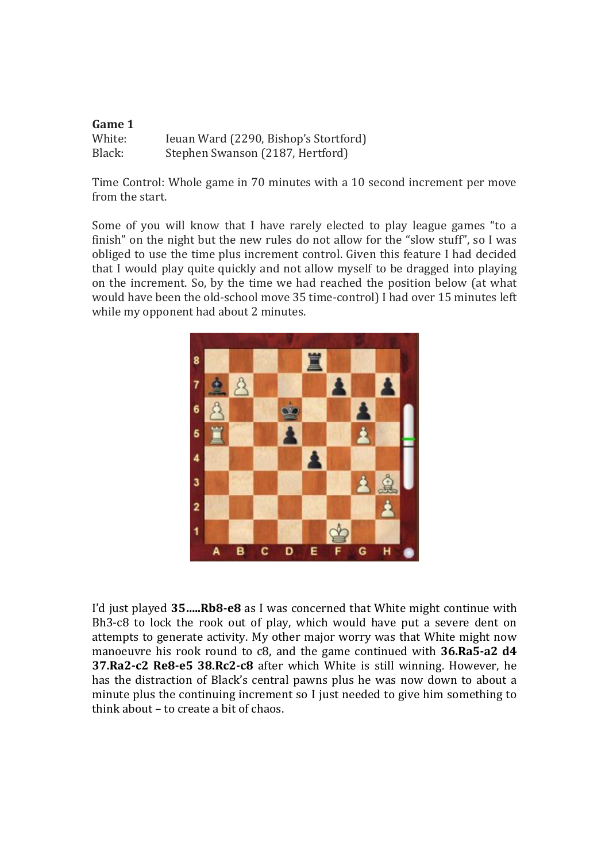| Game 1 |                                       |
|--------|---------------------------------------|
| White: | Ieuan Ward (2290, Bishop's Stortford) |
| Black: | Stephen Swanson (2187, Hertford)      |

Time Control: Whole game in 70 minutes with a 10 second increment per move from the start.

Some of you will know that I have rarely elected to play league games "to a finish" on the night but the new rules do not allow for the "slow stuff", so I was obliged to use the time plus increment control. Given this feature I had decided that I would play quite quickly and not allow myself to be dragged into playing on the increment. So, by the time we had reached the position below (at what would have been the old-school move 35 time-control) I had over 15 minutes left while my opponent had about 2 minutes.



I'd just played **35…..Rb8-e8** as I was concerned that White might continue with Bh3-c8 to lock the rook out of play, which would have put a severe dent on attempts to generate activity. My other major worry was that White might now manoeuvre his rook round to c8, and the game continued with **36.Ra5-a2 d4 37.Ra2-c2 Re8-e5 38.Rc2-c8** after which White is still winning. However, he has the distraction of Black's central pawns plus he was now down to about a minute plus the continuing increment so I just needed to give him something to think about – to create a bit of chaos.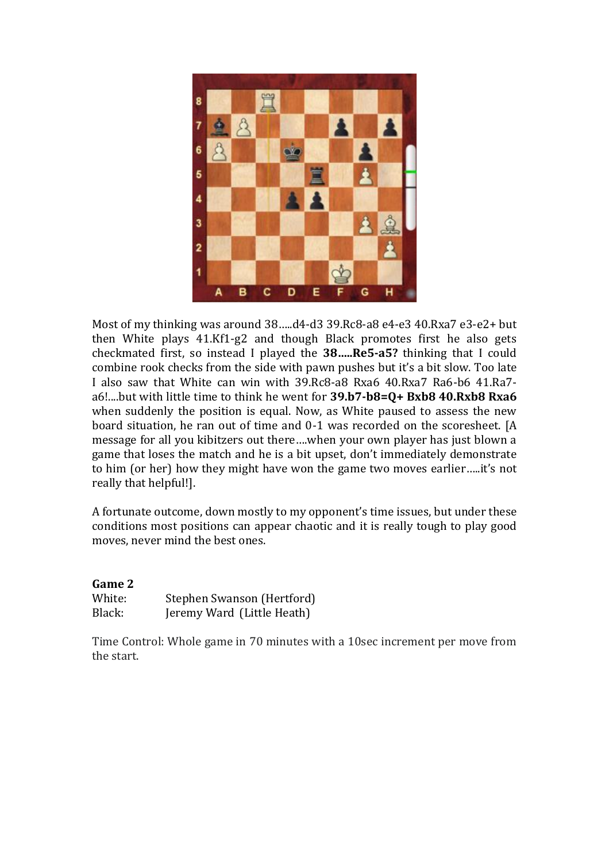

Most of my thinking was around 38…..d4-d3 39.Rc8-a8 e4-e3 40.Rxa7 e3-e2+ but then White plays 41.Kf1-g2 and though Black promotes first he also gets checkmated first, so instead I played the **38…..Re5-a5?** thinking that I could combine rook checks from the side with pawn pushes but it's a bit slow. Too late I also saw that White can win with 39.Rc8-a8 Rxa6 40.Rxa7 Ra6-b6 41.Ra7 a6!....but with little time to think he went for **39.b7-b8=Q+ Bxb8 40.Rxb8 Rxa6** when suddenly the position is equal. Now, as White paused to assess the new board situation, he ran out of time and 0-1 was recorded on the scoresheet. [A message for all you kibitzers out there….when your own player has just blown a game that loses the match and he is a bit upset, don't immediately demonstrate to him (or her) how they might have won the game two moves earlier…..it's not really that helpful!].

A fortunate outcome, down mostly to my opponent's time issues, but under these conditions most positions can appear chaotic and it is really tough to play good moves, never mind the best ones.

## **Game 2**

| White: | Stephen Swanson (Hertford) |
|--------|----------------------------|
| Black: | Jeremy Ward (Little Heath) |

Time Control: Whole game in 70 minutes with a 10sec increment per move from the start.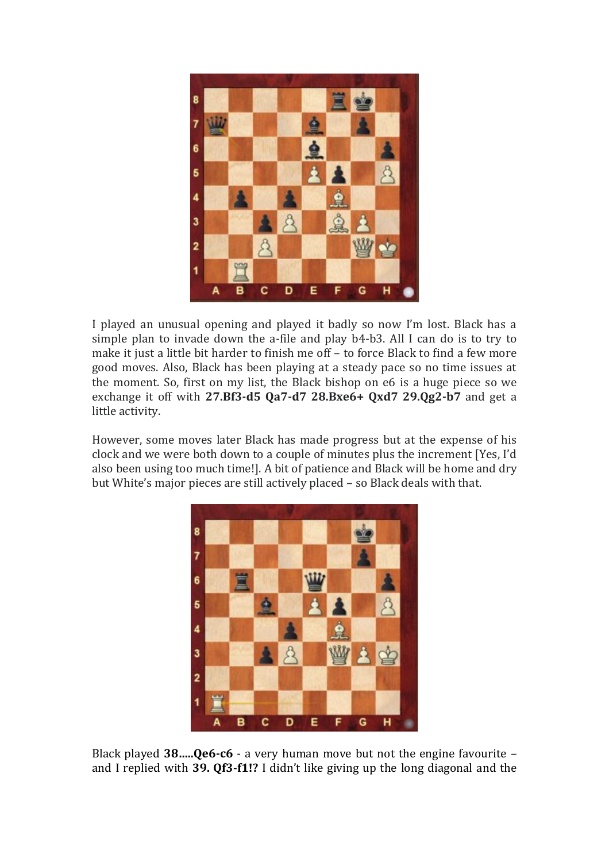

I played an unusual opening and played it badly so now I'm lost. Black has a simple plan to invade down the a-file and play b4-b3. All I can do is to try to make it just a little bit harder to finish me off – to force Black to find a few more good moves. Also, Black has been playing at a steady pace so no time issues at the moment. So, first on my list, the Black bishop on e6 is a huge piece so we exchange it off with **27.Bf3-d5 Qa7-d7 28.Bxe6+ Qxd7 29.Qg2-b7** and get a little activity.

However, some moves later Black has made progress but at the expense of his clock and we were both down to a couple of minutes plus the increment [Yes, I'd also been using too much time!]. A bit of patience and Black will be home and dry but White's major pieces are still actively placed – so Black deals with that.



Black played **38…..Qe6-c6** - a very human move but not the engine favourite – and I replied with **39. Qf3-f1!?** I didn't like giving up the long diagonal and the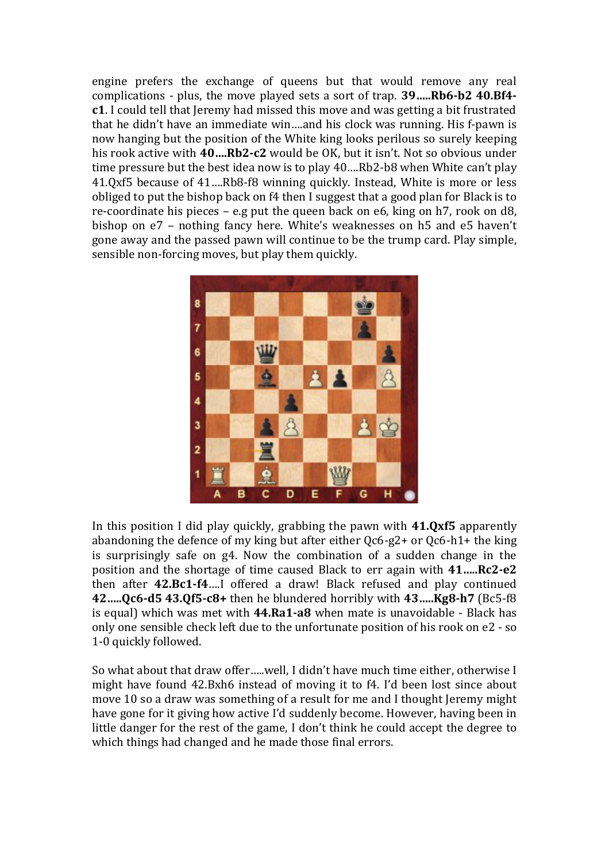engine prefers the exchange of queens but that would remove any real complications - plus, the move played sets a sort of trap. **39…..Rb6-b2 40.Bf4 c1**. I could tell that Jeremy had missed this move and was getting a bit frustrated that he didn't have an immediate win….and his clock was running. His f-pawn is now hanging but the position of the White king looks perilous so surely keeping his rook active with **40….Rb2-c2** would be OK, but it isn't. Not so obvious under time pressure but the best idea now is to play 40….Rb2-b8 when White can't play 41.Qxf5 because of 41….Rb8-f8 winning quickly. Instead, White is more or less obliged to put the bishop back on f4 then I suggest that a good plan for Black is to re-coordinate his pieces – e.g put the queen back on e6, king on h7, rook on d8, bishop on e7 – nothing fancy here. White's weaknesses on h5 and e5 haven't gone away and the passed pawn will continue to be the trump card. Play simple, sensible non-forcing moves, but play them quickly.



In this position I did play quickly, grabbing the pawn with **41.Qxf5** apparently abandoning the defence of my king but after either Qc6-g2+ or Qc6-h1+ the king is surprisingly safe on g4. Now the combination of a sudden change in the position and the shortage of time caused Black to err again with **41…..Rc2-e2** then after **42.Bc1-f4**….I offered a draw! Black refused and play continued **42…..Qc6-d5 43.Qf5-c8+** then he blundered horribly with **43…..Kg8-h7** (Bc5-f8 is equal) which was met with **44.Ra1-a8** when mate is unavoidable - Black has only one sensible check left due to the unfortunate position of his rook on e2 - so 1-0 quickly followed.

So what about that draw offer…..well, I didn't have much time either, otherwise I might have found 42.Bxh6 instead of moving it to f4. I'd been lost since about move 10 so a draw was something of a result for me and I thought Jeremy might have gone for it giving how active I'd suddenly become. However, having been in little danger for the rest of the game, I don't think he could accept the degree to which things had changed and he made those final errors.